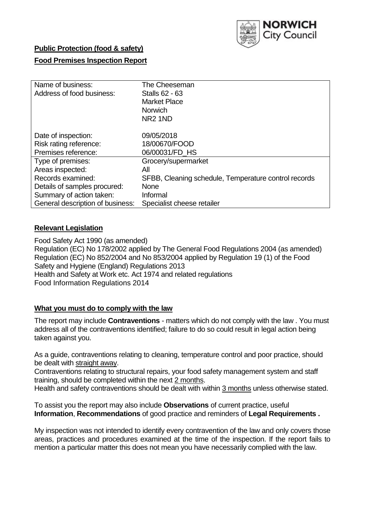

# **Public Protection (food & safety)**

# **Food Premises Inspection Report**

| Name of business:                | The Cheeseman                                        |
|----------------------------------|------------------------------------------------------|
| Address of food business:        | <b>Stalls 62 - 63</b>                                |
|                                  | <b>Market Place</b>                                  |
|                                  | <b>Norwich</b>                                       |
|                                  | NR <sub>2</sub> 1ND                                  |
| Date of inspection:              | 09/05/2018                                           |
|                                  |                                                      |
| Risk rating reference:           | 18/00670/FOOD                                        |
| Premises reference:              | 06/00031/FD HS                                       |
| Type of premises:                | Grocery/supermarket                                  |
| Areas inspected:                 | Αll                                                  |
| Records examined:                | SFBB, Cleaning schedule, Temperature control records |
| Details of samples procured:     | <b>None</b>                                          |
| Summary of action taken:         | Informal                                             |
| General description of business: | Specialist cheese retailer                           |

# **Relevant Legislation**

Food Safety Act 1990 (as amended) Regulation (EC) No 178/2002 applied by The General Food Regulations 2004 (as amended) Regulation (EC) No 852/2004 and No 853/2004 applied by Regulation 19 (1) of the Food Safety and Hygiene (England) Regulations 2013 Health and Safety at Work etc. Act 1974 and related regulations Food Information Regulations 2014

### **What you must do to comply with the law**

The report may include **Contraventions** - matters which do not comply with the law . You must address all of the contraventions identified; failure to do so could result in legal action being taken against you.

As a guide, contraventions relating to cleaning, temperature control and poor practice, should be dealt with straight away.

Contraventions relating to structural repairs, your food safety management system and staff training, should be completed within the next 2 months.

Health and safety contraventions should be dealt with within 3 months unless otherwise stated.

To assist you the report may also include **Observations** of current practice, useful **Information**, **Recommendations** of good practice and reminders of **Legal Requirements .**

My inspection was not intended to identify every contravention of the law and only covers those areas, practices and procedures examined at the time of the inspection. If the report fails to mention a particular matter this does not mean you have necessarily complied with the law.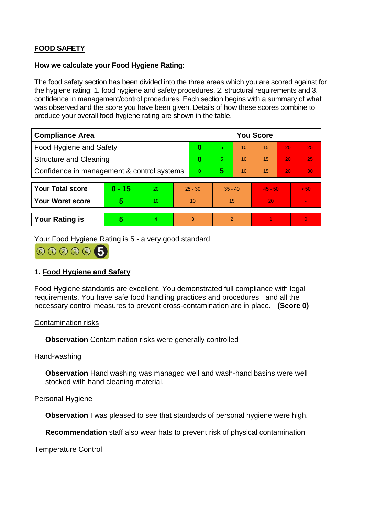# **FOOD SAFETY**

#### **How we calculate your Food Hygiene Rating:**

The food safety section has been divided into the three areas which you are scored against for the hygiene rating: 1. food hygiene and safety procedures, 2. structural requirements and 3. confidence in management/control procedures. Each section begins with a summary of what was observed and the score you have been given. Details of how these scores combine to produce your overall food hygiene rating are shown in the table.

| <b>Compliance Area</b>                     |          |    |                | <b>You Score</b> |                |    |           |    |                |  |  |
|--------------------------------------------|----------|----|----------------|------------------|----------------|----|-----------|----|----------------|--|--|
| Food Hygiene and Safety                    |          |    | 0              | 5.               | 10             | 15 | 20        | 25 |                |  |  |
| <b>Structure and Cleaning</b>              |          |    | 0              | 5.               | 10             | 15 | 20        | 25 |                |  |  |
| Confidence in management & control systems |          |    | $\overline{0}$ | 5                | 10             | 15 | 20        | 30 |                |  |  |
|                                            |          |    |                |                  |                |    |           |    |                |  |  |
| <b>Your Total score</b>                    | $0 - 15$ | 20 | $25 - 30$      |                  | $35 - 40$      |    | $45 - 50$ |    | > 50           |  |  |
| Your Worst score                           | 5        | 10 | 10             |                  | 15             |    | 20        |    | $\blacksquare$ |  |  |
|                                            |          |    |                |                  |                |    |           |    |                |  |  |
| <b>Your Rating is</b>                      | 5        | 4. | 3              |                  | $\overline{2}$ |    |           |    | $\overline{0}$ |  |  |

Your Food Hygiene Rating is 5 - a very good standard



# **1. Food Hygiene and Safety**

Food Hygiene standards are excellent. You demonstrated full compliance with legal requirements. You have safe food handling practices and procedures and all the necessary control measures to prevent cross-contamination are in place. **(Score 0)**

#### Contamination risks

**Observation** Contamination risks were generally controlled

#### Hand-washing

**Observation** Hand washing was managed well and wash-hand basins were well stocked with hand cleaning material.

#### Personal Hygiene

**Observation** I was pleased to see that standards of personal hygiene were high.

**Recommendation** staff also wear hats to prevent risk of physical contamination

### Temperature Control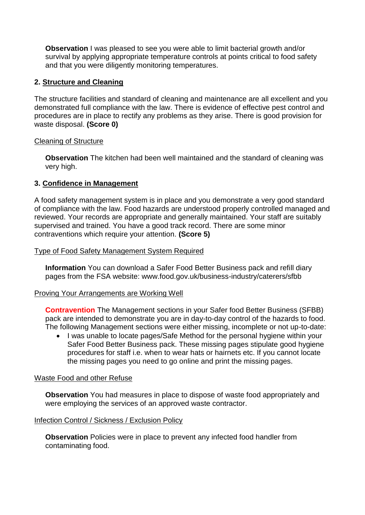**Observation** I was pleased to see you were able to limit bacterial growth and/or survival by applying appropriate temperature controls at points critical to food safety and that you were diligently monitoring temperatures.

# **2. Structure and Cleaning**

The structure facilities and standard of cleaning and maintenance are all excellent and you demonstrated full compliance with the law. There is evidence of effective pest control and procedures are in place to rectify any problems as they arise. There is good provision for waste disposal. **(Score 0)**

### Cleaning of Structure

**Observation** The kitchen had been well maintained and the standard of cleaning was very high.

# **3. Confidence in Management**

A food safety management system is in place and you demonstrate a very good standard of compliance with the law. Food hazards are understood properly controlled managed and reviewed. Your records are appropriate and generally maintained. Your staff are suitably supervised and trained. You have a good track record. There are some minor contraventions which require your attention. **(Score 5)**

### Type of Food Safety Management System Required

**Information** You can download a Safer Food Better Business pack and refill diary pages from the FSA website: www.food.gov.uk/business-industry/caterers/sfbb

### Proving Your Arrangements are Working Well

**Contravention** The Management sections in your Safer food Better Business (SFBB) pack are intended to demonstrate you are in day-to-day control of the hazards to food. The following Management sections were either missing, incomplete or not up-to-date:

 I was unable to locate pages/Safe Method for the personal hygiene within your Safer Food Better Business pack. These missing pages stipulate good hygiene procedures for staff i.e. when to wear hats or hairnets etc. If you cannot locate the missing pages you need to go online and print the missing pages.

### Waste Food and other Refuse

**Observation** You had measures in place to dispose of waste food appropriately and were employing the services of an approved waste contractor.

### Infection Control / Sickness / Exclusion Policy

**Observation** Policies were in place to prevent any infected food handler from contaminating food.